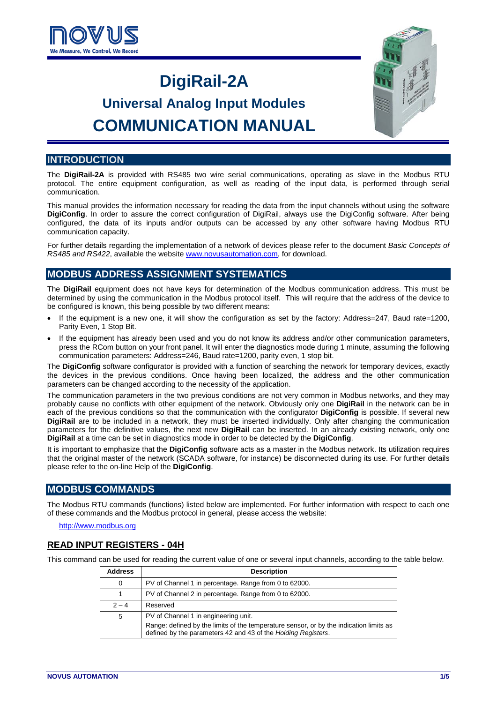

## **DigiRail-2A**

# **Universal Analog Input Modules COMMUNICATION MANUAL**



## **INTRODUCTION**

The **DigiRail-2A** is provided with RS485 two wire serial communications, operating as slave in the Modbus RTU protocol. The entire equipment configuration, as well as reading of the input data, is performed through serial communication.

This manual provides the information necessary for reading the data from the input channels without using the software **DigiConfig**. In order to assure the correct configuration of DigiRail, always use the DigiConfig software. After being configured, the data of its inputs and/or outputs can be accessed by any other software having Modbus RTU communication capacity.

For further details regarding the implementation of a network of devices please refer to the document *Basic Concepts of RS485 and RS422*, available the website [www.novusautomation.com,](http://www.novusautomation.com/) for download.

## **MODBUS ADDRESS ASSIGNMENT SYSTEMATICS**

The **DigiRail** equipment does not have keys for determination of the Modbus communication address. This must be determined by using the communication in the Modbus protocol itself. This will require that the address of the device to be configured is known, this being possible by two different means:

- If the equipment is a new one, it will show the configuration as set by the factory: Address=247, Baud rate=1200, Parity Even, 1 Stop Bit.
- If the equipment has already been used and you do not know its address and/or other communication parameters, press the RCom button on your front panel. It will enter the diagnostics mode during 1 minute, assuming the following communication parameters: Address=246, Baud rate=1200, parity even, 1 stop bit.

The **DigiConfig** software configurator is provided with a function of searching the network for temporary devices, exactly the devices in the previous conditions. Once having been localized, the address and the other communication parameters can be changed according to the necessity of the application.

The communication parameters in the two previous conditions are not very common in Modbus networks, and they may probably cause no conflicts with other equipment of the network. Obviously only one **DigiRail** in the network can be in each of the previous conditions so that the communication with the configurator **DigiConfig** is possible. If several new **DigiRail** are to be included in a network, they must be inserted individually. Only after changing the communication parameters for the definitive values, the next new **DigiRail** can be inserted. In an already existing network, only one **DigiRail** at a time can be set in diagnostics mode in order to be detected by the **DigiConfig**.

It is important to emphasize that the **DigiConfig** software acts as a master in the Modbus network. Its utilization requires that the original master of the network (SCADA software, for instance) be disconnected during its use. For further details please refer to the on-line Help of the **DigiConfig**.

## **MODBUS COMMANDS**

The Modbus RTU commands (functions) listed below are implemented. For further information with respect to each one of these commands and the Modbus protocol in general, please access the website:

[http://www.modbus.org](http://www.modbus.org/)

## **READ INPUT REGISTERS - 04H**

This command can be used for reading the current value of one or several input channels, according to the table below.

| <b>Address</b> | <b>Description</b>                                                                                                                                      |  |
|----------------|---------------------------------------------------------------------------------------------------------------------------------------------------------|--|
| 0              | PV of Channel 1 in percentage. Range from 0 to 62000.                                                                                                   |  |
|                | PV of Channel 2 in percentage. Range from 0 to 62000.                                                                                                   |  |
| $2 - 4$        | Reserved                                                                                                                                                |  |
| 5              | PV of Channel 1 in engineering unit.                                                                                                                    |  |
|                | Range: defined by the limits of the temperature sensor, or by the indication limits as<br>defined by the parameters 42 and 43 of the Holding Registers. |  |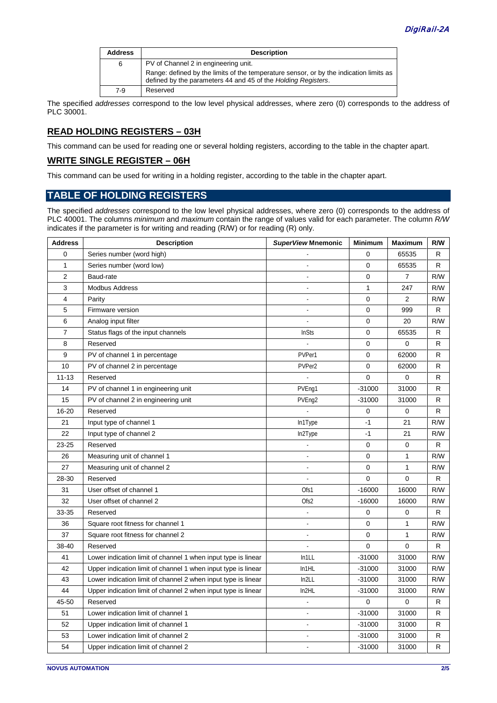| <b>Address</b> | <b>Description</b>                                                                                                                                      |
|----------------|---------------------------------------------------------------------------------------------------------------------------------------------------------|
| 6              | PV of Channel 2 in engineering unit.                                                                                                                    |
|                | Range: defined by the limits of the temperature sensor, or by the indication limits as<br>defined by the parameters 44 and 45 of the Holding Registers. |
| 7-9            | Reserved                                                                                                                                                |

The specified *addresses* correspond to the low level physical addresses, where zero (0) corresponds to the address of PLC 30001.

## **READ HOLDING REGISTERS – 03H**

This command can be used for reading one or several holding registers, according to the table in the chapter apart.

#### **WRITE SINGLE REGISTER – 06H**

This command can be used for writing in a holding register, according to the table in the chapter apart.

## **TABLE OF HOLDING REGISTERS**

The specified *addresses* correspond to the low level physical addresses, where zero (0) corresponds to the address of PLC 40001. The columns *minimum* and *maximum* contain the range of values valid for each parameter. The column *R/W* indicates if the parameter is for writing and reading (R/W) or for reading (R) only.

| <b>Address</b> | <b>Description</b>                                            | SuperView Mnemonic | <b>Minimum</b> | <b>Maximum</b> | R/W |
|----------------|---------------------------------------------------------------|--------------------|----------------|----------------|-----|
| $\mathbf 0$    | Series number (word high)                                     |                    | 0              | 65535          | R   |
| 1              | Series number (word low)                                      | ÷,                 | 0              | 65535          | R   |
| 2              | Baud-rate                                                     | ÷,                 | 0              | $\overline{7}$ | R/W |
| 3              | <b>Modbus Address</b>                                         | ÷,                 | $\mathbf{1}$   | 247            | R/W |
| 4              | Parity                                                        | $\bar{a}$          | 0              | $\overline{2}$ | R/W |
| 5              | Firmware version                                              | ÷,                 | 0              | 999            | R   |
| 6              | Analog input filter                                           | ÷,                 | 0              | 20             | R/W |
| $\overline{7}$ | Status flags of the input channels                            | <b>InSts</b>       | 0              | 65535          | R   |
| 8              | Reserved                                                      |                    | 0              | 0              | R   |
| 9              | PV of channel 1 in percentage                                 | PVPer1             | 0              | 62000          | R   |
| 10             | PV of channel 2 in percentage                                 | PVPer2             | 0              | 62000          | R   |
| $11 - 13$      | Reserved                                                      |                    | 0              | 0              | R   |
| 14             | PV of channel 1 in engineering unit                           | PVEng1             | $-31000$       | 31000          | R   |
| 15             | PV of channel 2 in engineering unit                           | PVEng2             | $-31000$       | 31000          | R   |
| 16-20          | Reserved                                                      |                    | 0              | 0              | R   |
| 21             | Input type of channel 1                                       | In1Type            | $-1$           | 21             | R/W |
| 22             | Input type of channel 2                                       | In2Type            | $-1$           | 21             | R/W |
| $23 - 25$      | Reserved                                                      |                    | 0              | 0              | R   |
| 26             | Measuring unit of channel 1                                   |                    | 0              | $\mathbf{1}$   | R/W |
| 27             | Measuring unit of channel 2                                   |                    | 0              | 1              | R/W |
| 28-30          | Reserved                                                      |                    | 0              | 0              | R   |
| 31             | User offset of channel 1                                      | Ofs1               | $-16000$       | 16000          | R/W |
| 32             | User offset of channel 2                                      | Ofs2               | $-16000$       | 16000          | R/W |
| 33-35          | Reserved                                                      |                    | 0              | 0              | R   |
| 36             | Square root fitness for channel 1                             |                    | 0              | $\mathbf{1}$   | R/W |
| 37             | Square root fitness for channel 2                             | ÷,                 | 0              | $\mathbf{1}$   | R/W |
| 38-40          | Reserved                                                      |                    | 0              | $\Omega$       | R.  |
| 41             | Lower indication limit of channel 1 when input type is linear | In1LL              | $-31000$       | 31000          | R/W |
| 42             | Upper indication limit of channel 1 when input type is linear | In1HL              | $-31000$       | 31000          | R/W |
| 43             | Lower indication limit of channel 2 when input type is linear | In2LL              | -31000         | 31000          | R/W |
| 44             | Upper indication limit of channel 2 when input type is linear | In2HL              | $-31000$       | 31000          | R/W |
| 45-50          | Reserved                                                      |                    | 0              | 0              | R   |
| 51             | Lower indication limit of channel 1                           | ÷,                 | $-31000$       | 31000          | R   |
| 52             | Upper indication limit of channel 1                           | ÷,                 | $-31000$       | 31000          | R   |
| 53             | Lower indication limit of channel 2                           |                    | -31000         | 31000          | R   |
| 54             | Upper indication limit of channel 2                           |                    | $-31000$       | 31000          | R   |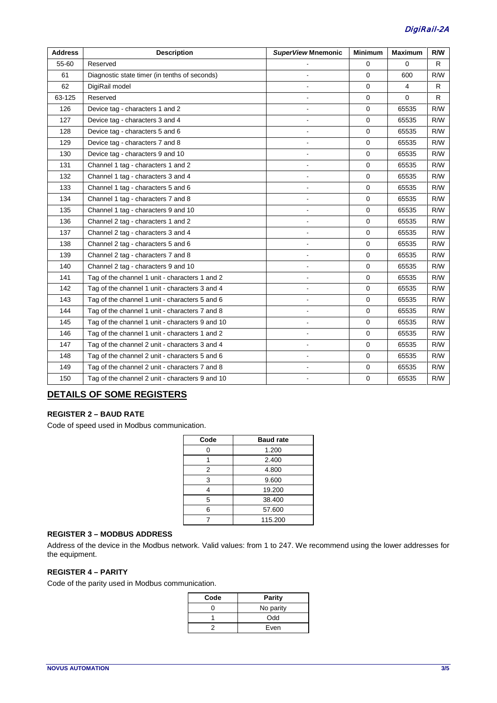| <b>Address</b> | <b>Description</b>                              | <b>SuperView Mnemonic</b> | <b>Minimum</b> | <b>Maximum</b> | R/W |
|----------------|-------------------------------------------------|---------------------------|----------------|----------------|-----|
| 55-60          | Reserved                                        |                           | 0              | 0              | R   |
| 61             | Diagnostic state timer (in tenths of seconds)   |                           | $\mathbf 0$    | 600            | R/W |
| 62             | DigiRail model                                  |                           | $\mathbf 0$    | $\overline{4}$ | R   |
| 63-125         | Reserved                                        |                           | $\mathbf 0$    | $\mathbf 0$    | R   |
| 126            | Device tag - characters 1 and 2                 |                           | $\mathbf 0$    | 65535          | R/W |
| 127            | Device tag - characters 3 and 4                 |                           | $\mathbf 0$    | 65535          | R/W |
| 128            | Device tag - characters 5 and 6                 |                           | $\Omega$       | 65535          | R/W |
| 129            | Device tag - characters 7 and 8                 |                           | $\mathbf 0$    | 65535          | R/W |
| 130            | Device tag - characters 9 and 10                |                           | $\mathbf 0$    | 65535          | R/W |
| 131            | Channel 1 tag - characters 1 and 2              | ÷,                        | $\mathbf 0$    | 65535          | R/W |
| 132            | Channel 1 tag - characters 3 and 4              |                           | $\Omega$       | 65535          | R/W |
| 133            | Channel 1 tag - characters 5 and 6              |                           | $\mathbf 0$    | 65535          | R/W |
| 134            | Channel 1 tag - characters 7 and 8              |                           | $\mathbf 0$    | 65535          | R/W |
| 135            | Channel 1 tag - characters 9 and 10             | ÷,                        | $\mathbf 0$    | 65535          | R/W |
| 136            | Channel 2 tag - characters 1 and 2              |                           | $\mathbf 0$    | 65535          | R/W |
| 137            | Channel 2 tag - characters 3 and 4              | ÷.                        | 0              | 65535          | R/W |
| 138            | Channel 2 tag - characters 5 and 6              | $\sim$                    | $\Omega$       | 65535          | R/W |
| 139            | Channel 2 tag - characters 7 and 8              |                           | $\mathbf 0$    | 65535          | R/W |
| 140            | Channel 2 tag - characters 9 and 10             |                           | $\mathbf 0$    | 65535          | R/W |
| 141            | Tag of the channel 1 unit - characters 1 and 2  |                           | $\mathbf 0$    | 65535          | R/W |
| 142            | Tag of the channel 1 unit - characters 3 and 4  |                           | $\mathbf 0$    | 65535          | R/W |
| 143            | Tag of the channel 1 unit - characters 5 and 6  | $\sim$                    | $\mathbf 0$    | 65535          | R/W |
| 144            | Tag of the channel 1 unit - characters 7 and 8  |                           | $\mathbf 0$    | 65535          | R/W |
| 145            | Tag of the channel 1 unit - characters 9 and 10 |                           | $\mathbf 0$    | 65535          | R/W |
| 146            | Tag of the channel 1 unit - characters 1 and 2  |                           | $\mathbf 0$    | 65535          | R/W |
| 147            | Tag of the channel 2 unit - characters 3 and 4  |                           | $\mathbf 0$    | 65535          | R/W |
| 148            | Tag of the channel 2 unit - characters 5 and 6  |                           | $\mathbf 0$    | 65535          | R/W |
| 149            | Tag of the channel 2 unit - characters 7 and 8  |                           | $\mathbf 0$    | 65535          | R/W |
| 150            | Tag of the channel 2 unit - characters 9 and 10 |                           | $\mathbf 0$    | 65535          | R/W |

## **DETAILS OF SOME REGISTERS**

## **REGISTER 2 – BAUD RATE**

Code of speed used in Modbus communication.

| Code | <b>Baud rate</b> |
|------|------------------|
| ი    | 1.200            |
|      | 2.400            |
| 2    | 4.800            |
| 3    | 9.600            |
|      | 19.200           |
| 5    | 38.400           |
| 6    | 57.600           |
|      | 115.200          |

## **REGISTER 3 – MODBUS ADDRESS**

Address of the device in the Modbus network. Valid values: from 1 to 247. We recommend using the lower addresses for the equipment.

#### **REGISTER 4 – PARITY**

Code of the parity used in Modbus communication.

| Code | <b>Parity</b> |
|------|---------------|
|      | No parity     |
|      | Odd           |
|      | Even          |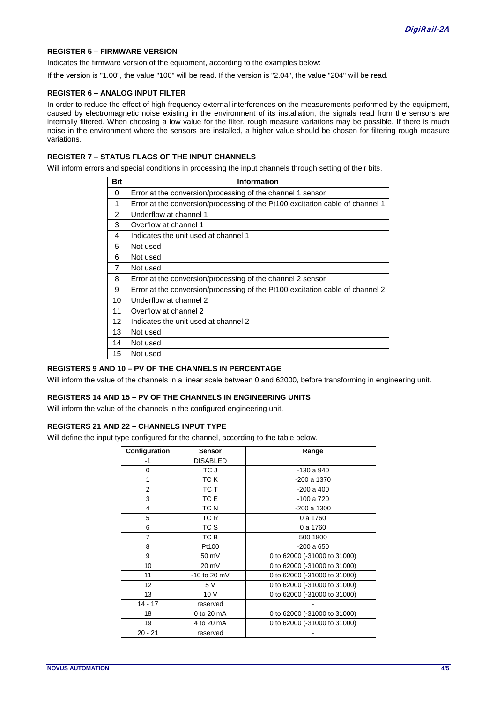#### **REGISTER 5 – FIRMWARE VERSION**

Indicates the firmware version of the equipment, according to the examples below:

If the version is "1.00", the value "100" will be read. If the version is "2.04", the value "204" will be read.

#### **REGISTER 6 – ANALOG INPUT FILTER**

In order to reduce the effect of high frequency external interferences on the measurements performed by the equipment, caused by electromagnetic noise existing in the environment of its installation, the signals read from the sensors are internally filtered. When choosing a low value for the filter, rough measure variations may be possible. If there is much noise in the environment where the sensors are installed, a higher value should be chosen for filtering rough measure variations.

#### **REGISTER 7 – STATUS FLAGS OF THE INPUT CHANNELS**

Will inform errors and special conditions in processing the input channels through setting of their bits.

| <b>Bit</b>     | Information                                                                   |  |  |
|----------------|-------------------------------------------------------------------------------|--|--|
| 0              | Error at the conversion/processing of the channel 1 sensor                    |  |  |
| 1              | Error at the conversion/processing of the Pt100 excitation cable of channel 1 |  |  |
| $\mathfrak{p}$ | Underflow at channel 1                                                        |  |  |
| 3              | Overflow at channel 1                                                         |  |  |
| 4              | Indicates the unit used at channel 1                                          |  |  |
| 5              | Not used                                                                      |  |  |
| 6              | Not used                                                                      |  |  |
| 7              | Not used                                                                      |  |  |
| 8              | Error at the conversion/processing of the channel 2 sensor                    |  |  |
| 9              | Error at the conversion/processing of the Pt100 excitation cable of channel 2 |  |  |
| 10             | Underflow at channel 2                                                        |  |  |
| 11             | Overflow at channel 2                                                         |  |  |
| 12             | Indicates the unit used at channel 2                                          |  |  |
| 13             | Not used                                                                      |  |  |
| 14             | Not used                                                                      |  |  |
| 15             | Not used                                                                      |  |  |

#### **REGISTERS 9 AND 10 – PV OF THE CHANNELS IN PERCENTAGE**

Will inform the value of the channels in a linear scale between 0 and 62000, before transforming in engineering unit.

#### **REGISTERS 14 AND 15 – PV OF THE CHANNELS IN ENGINEERING UNITS**

Will inform the value of the channels in the configured engineering unit.

#### **REGISTERS 21 AND 22 – CHANNELS INPUT TYPE**

Will define the input type configured for the channel, according to the table below.

| Configuration  | Sensor          | Range                        |
|----------------|-----------------|------------------------------|
| -1             | <b>DISABLED</b> |                              |
| 0              | TC J            | $-130a940$                   |
| 1              | TC K            | $-200a$ 1370                 |
| $\overline{2}$ | TC T            | $-200a$ 400                  |
| 3              | TC E            | -100 a 720                   |
| 4              | TC N            | $-200a$ 1300                 |
| 5              | TC R            | 0 a 1760                     |
| 6              | TC S            | 0 a 1760                     |
| 7              | TC B            | 500 1800                     |
| 8              | Pt100           | $-200a650$                   |
| 9              | 50 mV           | 0 to 62000 (-31000 to 31000) |
| 10             | 20 mV           | 0 to 62000 (-31000 to 31000) |
| 11             | $-10$ to 20 mV  | 0 to 62000 (-31000 to 31000) |
| 12             | 5 V             | 0 to 62000 (-31000 to 31000) |
| 13             | 10V             | 0 to 62000 (-31000 to 31000) |
| $14 - 17$      | reserved        |                              |
| 18             | 0 to 20 mA      | 0 to 62000 (-31000 to 31000) |
| 19             | 4 to 20 mA      | 0 to 62000 (-31000 to 31000) |
| 20 - 21        | reserved        |                              |